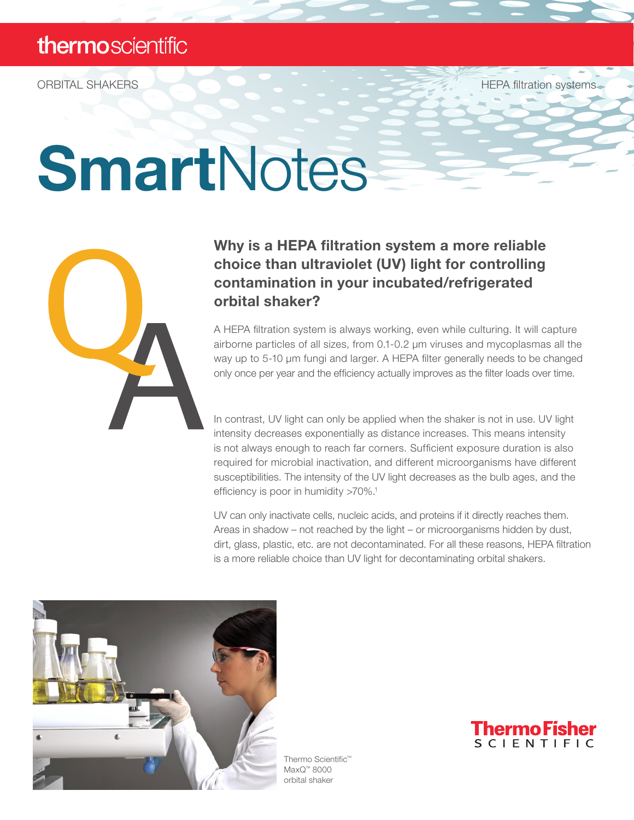ORBITAL SHAKERS HEPA filtration systems

# SmartNotes



## Why is a HEPA filtration system a more reliable choice than ultraviolet (UV) light for controlling contamination in your incubated/refrigerated orbital shaker?

A HEPA filtration system is always working, even while culturing. It will capture airborne particles of all sizes, from 0.1-0.2 µm viruses and mycoplasmas all the way up to 5-10 µm fungi and larger. A HEPA filter generally needs to be changed only once per year and the efficiency actually improves as the filter loads over time.

In contrast, UV light can only be applied when the shaker is not in use. UV light intensity decreases exponentially as distance increases. This means intensity is not always enough to reach far corners. Sufficient exposure duration is also required for microbial inactivation, and different microorganisms have different susceptibilities. The intensity of the UV light decreases as the bulb ages, and the efficiency is poor in humidity >70%.<sup>1</sup>

UV can only inactivate cells, nucleic acids, and proteins if it directly reaches them. Areas in shadow – not reached by the light – or microorganisms hidden by dust, dirt, glass, plastic, etc. are not decontaminated. For all these reasons, HEPA filtration is a more reliable choice than UV light for decontaminating orbital shakers.



Thermo Scientific™ MaxQ™ 8000 orbital shaker